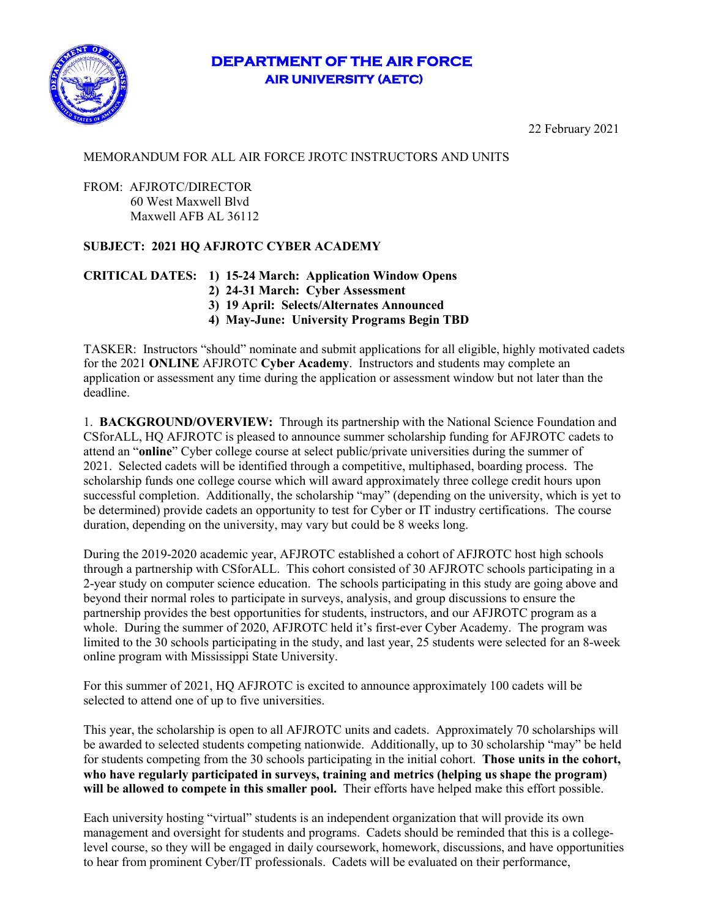# **DEPARTMENT OF THE AIR FORCE AIR UNIVERSITY (AETC)**



22 February 2021

#### MEMORANDUM FOR ALL AIR FORCE JROTC INSTRUCTORS AND UNITS

#### FROM: AFJROTC/DIRECTOR 60 West Maxwell Blvd Maxwell AFB AL 36112

## **SUBJECT: 2021 HQ AFJROTC CYBER ACADEMY**

## **CRITICAL DATES: 1) 15-24 March: Application Window Opens**

- **2) 24-31 March: Cyber Assessment**
- **3) 19 April: Selects/Alternates Announced**
- **4) May-June: University Programs Begin TBD**

TASKER: Instructors "should" nominate and submit applications for all eligible, highly motivated cadets for the 2021 **ONLINE** AFJROTC **Cyber Academy**. Instructors and students may complete an application or assessment any time during the application or assessment window but not later than the deadline.

1. **BACKGROUND/OVERVIEW:** Through its partnership with the National Science Foundation and CSforALL, HQ AFJROTC is pleased to announce summer scholarship funding for AFJROTC cadets to attend an "**online**" Cyber college course at select public/private universities during the summer of 2021. Selected cadets will be identified through a competitive, multiphased, boarding process. The scholarship funds one college course which will award approximately three college credit hours upon successful completion. Additionally, the scholarship "may" (depending on the university, which is yet to be determined) provide cadets an opportunity to test for Cyber or IT industry certifications. The course duration, depending on the university, may vary but could be 8 weeks long.

During the 2019-2020 academic year, AFJROTC established a cohort of AFJROTC host high schools through a partnership with CSforALL. This cohort consisted of 30 AFJROTC schools participating in a 2-year study on computer science education. The schools participating in this study are going above and beyond their normal roles to participate in surveys, analysis, and group discussions to ensure the partnership provides the best opportunities for students, instructors, and our AFJROTC program as a whole. During the summer of 2020, AFJROTC held it's first-ever Cyber Academy. The program was limited to the 30 schools participating in the study, and last year, 25 students were selected for an 8-week online program with Mississippi State University.

For this summer of 2021, HQ AFJROTC is excited to announce approximately 100 cadets will be selected to attend one of up to five universities.

This year, the scholarship is open to all AFJROTC units and cadets. Approximately 70 scholarships will be awarded to selected students competing nationwide. Additionally, up to 30 scholarship "may" be held for students competing from the 30 schools participating in the initial cohort. **Those units in the cohort, who have regularly participated in surveys, training and metrics (helping us shape the program) will be allowed to compete in this smaller pool.** Their efforts have helped make this effort possible.

Each university hosting "virtual" students is an independent organization that will provide its own management and oversight for students and programs. Cadets should be reminded that this is a collegelevel course, so they will be engaged in daily coursework, homework, discussions, and have opportunities to hear from prominent Cyber/IT professionals. Cadets will be evaluated on their performance,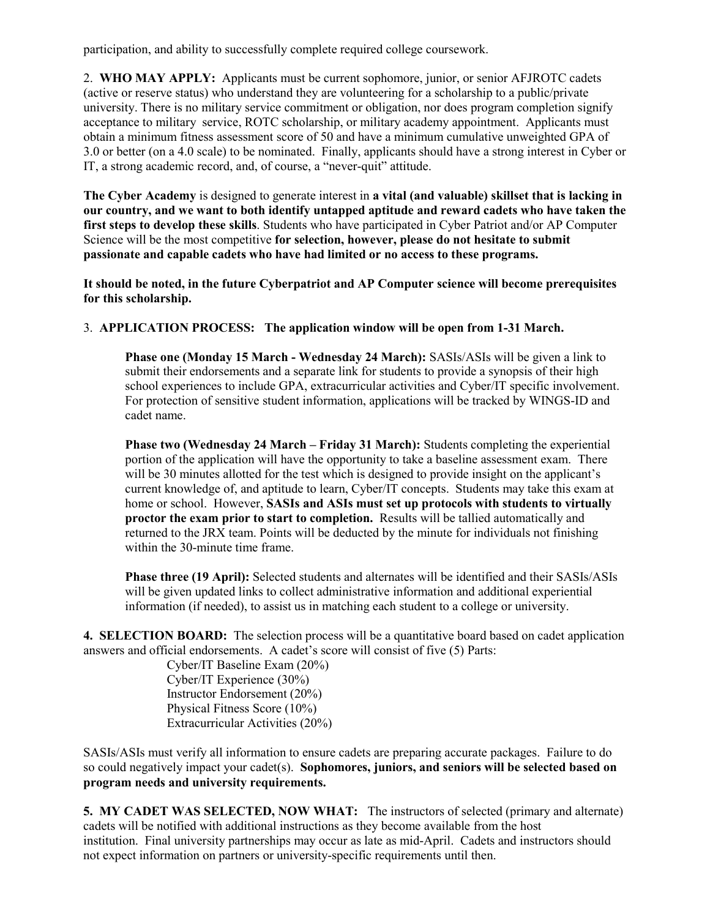participation, and ability to successfully complete required college coursework.

2. **WHO MAY APPLY:** Applicants must be current sophomore, junior, or senior AFJROTC cadets (active or reserve status) who understand they are volunteering for a scholarship to a public/private university. There is no military service commitment or obligation, nor does program completion signify acceptance to military service, ROTC scholarship, or military academy appointment. Applicants must obtain a minimum fitness assessment score of 50 and have a minimum cumulative unweighted GPA of 3.0 or better (on a 4.0 scale) to be nominated. Finally, applicants should have a strong interest in Cyber or IT, a strong academic record, and, of course, a "never-quit" attitude.

**The Cyber Academy** is designed to generate interest in **a vital (and valuable) skillset that is lacking in our country, and we want to both identify untapped aptitude and reward cadets who have taken the first steps to develop these skills**. Students who have participated in Cyber Patriot and/or AP Computer Science will be the most competitive **for selection, however, please do not hesitate to submit passionate and capable cadets who have had limited or no access to these programs.** 

**It should be noted, in the future Cyberpatriot and AP Computer science will become prerequisites for this scholarship.** 

#### 3. **APPLICATION PROCESS: The application window will be open from 1-31 March.**

**Phase one (Monday 15 March - Wednesday 24 March):** SASIs/ASIs will be given a link to submit their endorsements and a separate link for students to provide a synopsis of their high school experiences to include GPA, extracurricular activities and Cyber/IT specific involvement. For protection of sensitive student information, applications will be tracked by WINGS-ID and cadet name.

**Phase two (Wednesday 24 March – Friday 31 March):** Students completing the experiential portion of the application will have the opportunity to take a baseline assessment exam. There will be 30 minutes allotted for the test which is designed to provide insight on the applicant's current knowledge of, and aptitude to learn, Cyber/IT concepts. Students may take this exam at home or school. However, **SASIs and ASIs must set up protocols with students to virtually proctor the exam prior to start to completion.** Results will be tallied automatically and returned to the JRX team. Points will be deducted by the minute for individuals not finishing within the 30-minute time frame.

**Phase three (19 April):** Selected students and alternates will be identified and their SASIs/ASIs will be given updated links to collect administrative information and additional experiential information (if needed), to assist us in matching each student to a college or university.

**4. SELECTION BOARD:** The selection process will be a quantitative board based on cadet application answers and official endorsements. A cadet's score will consist of five (5) Parts:

Cyber/IT Baseline Exam (20%) Cyber/IT Experience (30%) Instructor Endorsement (20%) Physical Fitness Score (10%) Extracurricular Activities (20%)

SASIs/ASIs must verify all information to ensure cadets are preparing accurate packages. Failure to do so could negatively impact your cadet(s). **Sophomores, juniors, and seniors will be selected based on program needs and university requirements.**

**5. MY CADET WAS SELECTED, NOW WHAT:** The instructors of selected (primary and alternate) cadets will be notified with additional instructions as they become available from the host institution. Final university partnerships may occur as late as mid-April. Cadets and instructors should not expect information on partners or university-specific requirements until then.